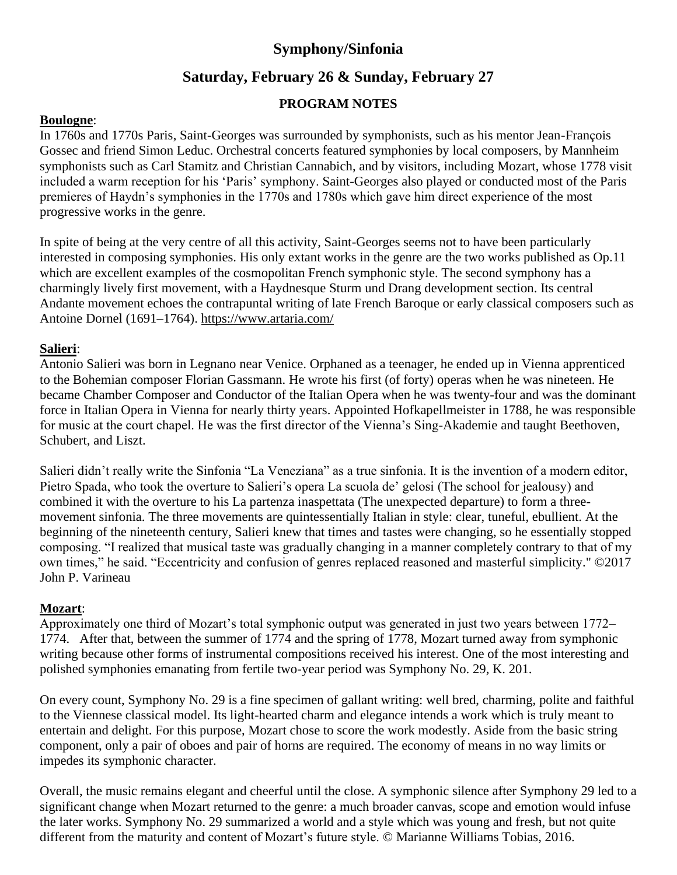### **Symphony/Sinfonia**

## **Saturday, February 26 & Sunday, February 27**

#### **PROGRAM NOTES**

#### **Boulogne**:

In 1760s and 1770s Paris, Saint-Georges was surrounded by symphonists, such as his mentor Jean-François Gossec and friend Simon Leduc. Orchestral concerts featured symphonies by local composers, by Mannheim symphonists such as Carl Stamitz and Christian Cannabich, and by visitors, including Mozart, whose 1778 visit included a warm reception for his 'Paris' symphony. Saint-Georges also played or conducted most of the Paris premieres of Haydn's symphonies in the 1770s and 1780s which gave him direct experience of the most progressive works in the genre.

In spite of being at the very centre of all this activity, Saint-Georges seems not to have been particularly interested in composing symphonies. His only extant works in the genre are the two works published as Op.11 which are excellent examples of the cosmopolitan French symphonic style. The second symphony has a charmingly lively first movement, with a Haydnesque Sturm und Drang development section. Its central Andante movement echoes the contrapuntal writing of late French Baroque or early classical composers such as Antoine Dornel (1691–1764). <https://www.artaria.com/>

#### **Salieri**:

Antonio Salieri was born in Legnano near Venice. Orphaned as a teenager, he ended up in Vienna apprenticed to the Bohemian composer Florian Gassmann. He wrote his first (of forty) operas when he was nineteen. He became Chamber Composer and Conductor of the Italian Opera when he was twenty-four and was the dominant force in Italian Opera in Vienna for nearly thirty years. Appointed Hofkapellmeister in 1788, he was responsible for music at the court chapel. He was the first director of the Vienna's Sing-Akademie and taught Beethoven, Schubert, and Liszt.

Salieri didn't really write the Sinfonia "La Veneziana" as a true sinfonia. It is the invention of a modern editor, Pietro Spada, who took the overture to Salieri's opera La scuola de' gelosi (The school for jealousy) and combined it with the overture to his La partenza inaspettata (The unexpected departure) to form a threemovement sinfonia. The three movements are quintessentially Italian in style: clear, tuneful, ebullient. At the beginning of the nineteenth century, Salieri knew that times and tastes were changing, so he essentially stopped composing. "I realized that musical taste was gradually changing in a manner completely contrary to that of my own times," he said. "Eccentricity and confusion of genres replaced reasoned and masterful simplicity." ©2017 John P. Varineau

#### **Mozart**:

Approximately one third of Mozart's total symphonic output was generated in just two years between 1772– 1774. After that, between the summer of 1774 and the spring of 1778, Mozart turned away from symphonic writing because other forms of instrumental compositions received his interest. One of the most interesting and polished symphonies emanating from fertile two-year period was Symphony No. 29, K. 201.

On every count, Symphony No. 29 is a fine specimen of gallant writing: well bred, charming, polite and faithful to the Viennese classical model. Its light-hearted charm and elegance intends a work which is truly meant to entertain and delight. For this purpose, Mozart chose to score the work modestly. Aside from the basic string component, only a pair of oboes and pair of horns are required. The economy of means in no way limits or impedes its symphonic character.

Overall, the music remains elegant and cheerful until the close. A symphonic silence after Symphony 29 led to a significant change when Mozart returned to the genre: a much broader canvas, scope and emotion would infuse the later works. Symphony No. 29 summarized a world and a style which was young and fresh, but not quite different from the maturity and content of Mozart's future style. © Marianne Williams Tobias, 2016.